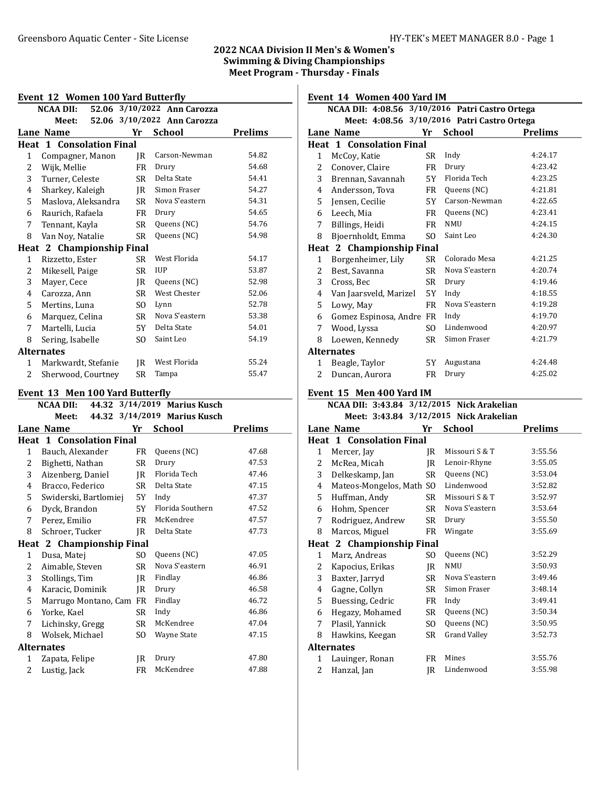# 2022 NCAA Division II Men's & Women's Swimming & Diving Championships Meet Program - Thursday - Finals

| Event 12 Women 100 Yard Butterfly               |                                  |           |                             |                |  |  |
|-------------------------------------------------|----------------------------------|-----------|-----------------------------|----------------|--|--|
| 52.06 3/10/2022 Ann Carozza<br><b>NCAA DII:</b> |                                  |           |                             |                |  |  |
|                                                 | Meet:                            |           | 52.06 3/10/2022 Ann Carozza |                |  |  |
|                                                 | <b>Lane Name</b>                 | Yr        | School                      | <b>Prelims</b> |  |  |
|                                                 | <b>Heat 1 Consolation Final</b>  |           |                             |                |  |  |
| 1                                               | Compagner, Manon                 | IR        | Carson-Newman               | 54.82          |  |  |
| $\overline{2}$                                  | Wijk, Mellie                     | FR        | Drury                       | 54.68          |  |  |
| 3                                               | Turner, Celeste                  | SR.       | Delta State                 | 54.41          |  |  |
| 4                                               | Sharkey, Kaleigh                 | IR        | Simon Fraser                | 54.27          |  |  |
| 5                                               | Maslova, Aleksandra              | SR –      | Nova S'eastern              | 54.31          |  |  |
| 6                                               | Raurich, Rafaela                 | FR        | Drury                       | 54.65          |  |  |
| 7                                               | Tennant, Kayla                   | SR        | Queens (NC)                 | 54.76          |  |  |
| 8                                               | Van Noy, Natalie                 | SR        | Queens (NC)                 | 54.98          |  |  |
|                                                 | <b>Heat 2 Championship Final</b> |           |                             |                |  |  |
| $\mathbf{1}$                                    | Rizzetto, Ester                  | SR        | West Florida                | 54.17          |  |  |
| 2                                               | Mikesell, Paige                  | SR        | <b>IUP</b>                  | 53.87          |  |  |
| 3                                               | Mayer, Cece                      | IR        | Queens (NC)                 | 52.98          |  |  |
| 4                                               | Carozza, Ann                     | SR.       | West Chester                | 52.06          |  |  |
| 5                                               | Mertins, Luna                    | SO.       | Lynn                        | 52.78          |  |  |
| 6                                               | Marquez, Celina                  | SR        | Nova S'eastern              | 53.38          |  |  |
| 7                                               | Martelli, Lucia                  | 5Y        | Delta State                 | 54.01          |  |  |
| 8                                               | Sering, Isabelle                 | SO.       | Saint Leo                   | 54.19          |  |  |
|                                                 | <b>Alternates</b>                |           |                             |                |  |  |
| 1                                               | Markwardt, Stefanie              | IR        | West Florida                | 55.24          |  |  |
| 2                                               | Sherwood, Courtney               | <b>SR</b> | Tampa                       | 55.47          |  |  |
|                                                 | Event 13 Men 100 Yard Butterfly  |           |                             |                |  |  |

|   | <b>NCAA DII:</b>                |           | 44.32 3/14/2019 Marius Kusch |                |
|---|---------------------------------|-----------|------------------------------|----------------|
|   | Meet:                           |           | 44.32 3/14/2019 Marius Kusch |                |
|   | Lane Name                       | Yr        | <b>School</b>                | <b>Prelims</b> |
|   | <b>Heat 1 Consolation Final</b> |           |                              |                |
| 1 | Bauch, Alexander                | FR        | Queens (NC)                  | 47.68          |
| 2 | Bighetti, Nathan                | SR        | Drury                        | 47.53          |
| 3 | Aizenberg, Daniel               | IR        | Florida Tech                 | 47.46          |
| 4 | Bracco, Federico                | SR        | Delta State                  | 47.15          |
| 5 | Swiderski, Bartlomiej           | 5Y        | Indy                         | 47.37          |
| 6 | Dyck, Brandon                   | 5Y        | Florida Southern             | 47.52          |
| 7 | Perez, Emilio                   | FR        | McKendree                    | 47.57          |
| 8 | Schroer, Tucker                 | JR        | Delta State                  | 47.73          |
|   | Heat 2 Championship Final       |           |                              |                |
| 1 | Dusa, Matej                     | SO.       | Queens (NC)                  | 47.05          |
| 2 | Aimable, Steven                 | SR        | Nova S'eastern               | 46.91          |
| 3 | Stollings, Tim                  | JR        | Findlay                      | 46.86          |
| 4 | Karacic, Dominik                | JR        | Drury                        | 46.58          |
| 5 | Marrugo Montano, Cam            | FR        | Findlay                      | 46.72          |
| 6 | Yorke, Kael                     | SR        | Indy                         | 46.86          |
| 7 | Lichinsky, Gregg                | <b>SR</b> | McKendree                    | 47.04          |
| 8 | Wolsek, Michael                 | SO.       | Wayne State                  | 47.15          |
|   | <b>Alternates</b>               |           |                              |                |
| 1 | Zapata, Felipe                  | IR        | Drury                        | 47.80          |
| 2 | Lustig, Jack                    | FR        | McKendree                    | 47.88          |
|   |                                 |           |                              |                |

Event 14 Women 400 Yard IM

|   | NCAA DII: 4:08.56 3/10/2016 Patri Castro Ortega |     |                                             |                |
|---|-------------------------------------------------|-----|---------------------------------------------|----------------|
|   |                                                 |     | Meet: 4:08.56 3/10/2016 Patri Castro Ortega |                |
|   | Lane Name                                       | Yr  | <b>School</b>                               | <b>Prelims</b> |
|   | <b>Heat 1 Consolation Final</b>                 |     |                                             |                |
| 1 | McCoy, Katie                                    | SR. | Indy                                        | 4:24.17        |
| 2 | Conover, Claire                                 | FR  | Drury                                       | 4:23.42        |
| 3 | Brennan, Savannah                               | 5Y  | Florida Tech                                | 4:23.25        |
| 4 | Andersson, Tova                                 | FR  | Queens (NC)                                 | 4:21.81        |
| 5 | Jensen, Cecilie                                 | 5Y  | Carson-Newman                               | 4:22.65        |
| 6 | Leech, Mia                                      | FR  | Queens (NC)                                 | 4:23.41        |
| 7 | Billings, Heidi                                 | FR  | <b>NMU</b>                                  | 4:24.15        |
| 8 | Bjoernholdt, Emma                               | SO. | Saint Leo                                   | 4:24.30        |
|   | <b>Heat 2 Championship Final</b>                |     |                                             |                |
| 1 | Borgenheimer, Lily                              | SR  | Colorado Mesa                               | 4:21.25        |
| 2 | Best, Savanna                                   | SR. | Nova S'eastern                              | 4:20.74        |
| 3 | Cross, Bec                                      | SR  | Drury                                       | 4:19.46        |
| 4 | Van Jaarsveld, Marizel                          | 5Y  | Indy                                        | 4:18.55        |
| 5 | Lowy, May                                       | FR  | Nova S'eastern                              | 4:19.28        |
| 6 | Gomez Espinosa, Andre FR                        |     | Indy                                        | 4:19.70        |
| 7 | Wood, Lyssa                                     | SO. | Lindenwood                                  | 4:20.97        |
| 8 | Loewen, Kennedy                                 | SR. | Simon Fraser                                | 4:21.79        |
|   | <b>Alternates</b>                               |     |                                             |                |
| 1 | Beagle, Taylor                                  | 5Y  | Augustana                                   | 4:24.48        |
| 2 | Duncan, Aurora                                  | FR  | Drury                                       | 4:25.02        |

### Event 15 Men 400 Yard IM

|  | NCAA DII: 3:43.84 3/12/2015 Nick Arakelian |  |
|--|--------------------------------------------|--|
|  | Meet: 3:43.84 3/12/2015 Nick Arakelian     |  |
|  |                                            |  |

|   | Lane Name                       | Yr             | <b>School</b>       | <b>Prelims</b> |
|---|---------------------------------|----------------|---------------------|----------------|
|   | <b>Heat 1 Consolation Final</b> |                |                     |                |
| 1 | Mercer, Jay                     | IR             | Missouri S & T      | 3:55.56        |
| 2 | McRea, Micah                    | IR             | Lenoir-Rhyne        | 3:55.05        |
| 3 | Delkeskamp, Jan                 | SR             | Queens (NC)         | 3:53.04        |
| 4 | Mateos-Mongelos, Math           | S <sub>O</sub> | Lindenwood          | 3:52.82        |
| 5 | Huffman, Andy                   | SR             | Missouri S & T      | 3:52.97        |
| 6 | Hohm, Spencer                   | SR             | Nova S'eastern      | 3:53.64        |
| 7 | Rodriguez, Andrew               | SR             | Drury               | 3:55.50        |
| 8 | Marcos, Miguel                  | FR             | Wingate             | 3:55.69        |
|   | Heat 2 Championship Final       |                |                     |                |
| 1 | Marz, Andreas                   | SO.            | Queens (NC)         | 3:52.29        |
| 2 | Kapocius, Erikas                | IR             | <b>NMU</b>          | 3:50.93        |
| 3 | Baxter, Jarryd                  | SR             | Nova S'eastern      | 3:49.46        |
| 4 | Gagne, Collyn                   | SR             | Simon Fraser        | 3:48.14        |
| 5 | Buessing, Cedric                | FR             | Indy                | 3:49.41        |
| 6 | Hegazy, Mohamed                 | SR             | Queens (NC)         | 3:50.34        |
| 7 | Plasil, Yannick                 | SO.            | Queens (NC)         | 3:50.95        |
| 8 | Hawkins, Keegan                 | SR             | <b>Grand Valley</b> | 3:52.73        |
|   | <b>Alternates</b>               |                |                     |                |
| 1 | Lauinger, Ronan                 | FR             | Mines               | 3:55.76        |
| 2 | Hanzal, Jan                     | IR.            | Lindenwood          | 3:55.98        |
|   |                                 |                |                     |                |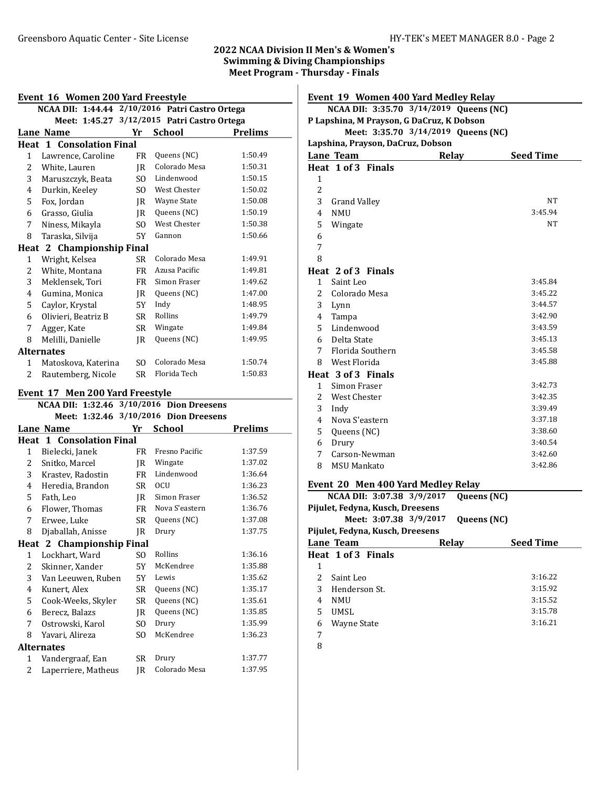# 2022 NCAA Division II Men's & Women's Swimming & Diving Championships

| Event 16 Women 200 Yard Freestyle |                                 |                           |                |                                             |                                                 |                |  |
|-----------------------------------|---------------------------------|---------------------------|----------------|---------------------------------------------|-------------------------------------------------|----------------|--|
|                                   |                                 |                           |                |                                             | NCAA DII: 1:44.44 2/10/2016 Patri Castro Ortega |                |  |
|                                   |                                 |                           |                | Meet: 1:45.27 3/12/2015 Patri Castro Ortega |                                                 |                |  |
|                                   | <b>Lane Name</b>                |                           | Yr             |                                             | School                                          | <b>Prelims</b> |  |
|                                   | <b>Heat 1 Consolation Final</b> |                           |                |                                             |                                                 |                |  |
| $\mathbf{1}$                      | Lawrence, Caroline              |                           | FR             |                                             | Queens (NC)                                     | 1:50.49        |  |
| 2                                 | White, Lauren                   |                           | IR             |                                             | Colorado Mesa                                   | 1:50.31        |  |
| 3                                 | Maruszczyk, Beata               |                           | SO.            |                                             | Lindenwood                                      | 1:50.15        |  |
| 4                                 | Durkin, Keeley                  |                           | SO.            |                                             | West Chester                                    | 1:50.02        |  |
| 5                                 | Fox, Jordan                     |                           | JR             |                                             | Wayne State                                     | 1:50.08        |  |
| 6                                 | Grasso, Giulia                  |                           | JR             |                                             | Queens (NC)                                     | 1:50.19        |  |
| 7                                 | Niness, Mikayla                 |                           | SO.            |                                             | West Chester                                    | 1:50.38        |  |
| 8                                 | Taraska, Silvija                |                           | 5Y             |                                             | Gannon                                          | 1:50.66        |  |
|                                   | Heat 2 Championship Final       |                           |                |                                             |                                                 |                |  |
| 1                                 | Wright, Kelsea                  |                           | SR             |                                             | Colorado Mesa                                   | 1:49.91        |  |
| 2                                 | White, Montana                  |                           | FR             |                                             | Azusa Pacific                                   | 1:49.81        |  |
| 3                                 | Meklensek, Tori                 |                           | FR             |                                             | Simon Fraser                                    | 1:49.62        |  |
| 4                                 | Gumina, Monica                  |                           | JR             |                                             | Queens (NC)                                     | 1:47.00        |  |
| 5                                 | Caylor, Krystal                 |                           | 5Y             | Indy                                        |                                                 | 1:48.95        |  |
| 6                                 | Olivieri, Beatriz B             |                           | <b>SR</b>      |                                             | Rollins                                         | 1:49.79        |  |
| 7                                 | Agger, Kate                     |                           | <b>SR</b>      |                                             | Wingate                                         | 1:49.84        |  |
| 8                                 | Melilli, Danielle               |                           | JR             |                                             | Queens (NC)                                     | 1:49.95        |  |
|                                   | <b>Alternates</b>               |                           |                |                                             |                                                 |                |  |
| 1                                 | Matoskova, Katerina             |                           | SO.            |                                             | Colorado Mesa                                   | 1:50.74        |  |
| 2                                 | Rautemberg, Nicole              |                           | SR             |                                             | Florida Tech                                    | 1:50.83        |  |
|                                   |                                 |                           |                |                                             |                                                 |                |  |
|                                   | Event 17 Men 200 Yard Freestyle |                           |                |                                             |                                                 |                |  |
|                                   |                                 |                           |                |                                             | NCAA DII: 1:32.46 3/10/2016 Dion Dreesens       |                |  |
|                                   |                                 |                           |                |                                             | Meet: 1:32.46 3/10/2016 Dion Dreesens           |                |  |
|                                   | Lane Name                       |                           | Yr             |                                             | <b>School</b>                                   | <b>Prelims</b> |  |
|                                   | <b>Heat 1 Consolation Final</b> |                           |                |                                             |                                                 |                |  |
| $\mathbf{1}$                      | Bielecki, Janek                 |                           | FR             |                                             | Fresno Pacific                                  | 1:37.59        |  |
| 2                                 | Snitko, Marcel                  |                           | JR             |                                             | Wingate                                         | 1:37.02        |  |
| 3                                 | Krastev, Radostin               |                           | FR             |                                             | Lindenwood                                      | 1:36.64        |  |
| 4                                 | Heredia, Brandon                |                           | <b>SR</b>      | <b>OCU</b>                                  |                                                 | 1:36.23        |  |
| 5                                 | Fath, Leo                       |                           | JR             |                                             | Simon Fraser                                    | 1:36.52        |  |
| 6                                 | Flower, Thomas                  |                           | FR             |                                             | Nova S'eastern                                  | 1:36.76        |  |
| 7                                 | Erwee, Luke                     |                           | SR             |                                             | Queens (NC)                                     | 1:37.08        |  |
| 8                                 | Djaballah, Anisse               |                           | JR             |                                             | Drury                                           | 1:37.75        |  |
| Heat 2                            |                                 | <b>Championship Final</b> |                |                                             |                                                 |                |  |
| $\mathbf{1}$                      | Lockhart, Ward                  |                           | SO.            |                                             | Rollins                                         | 1:36.16        |  |
| 2                                 | Skinner, Xander                 |                           | 5Y             |                                             | McKendree                                       | 1:35.88        |  |
| 3                                 | Van Leeuwen, Ruben              |                           | 5Υ             |                                             | Lewis                                           | 1:35.62        |  |
| 4                                 | Kunert, Alex                    |                           | SR             |                                             | Queens (NC)                                     | 1:35.17        |  |
| 5                                 | Cook-Weeks, Skyler              |                           | SR             |                                             | Queens (NC)                                     | 1:35.61        |  |
| 6                                 | Berecz, Balazs                  |                           | JR             |                                             | Queens (NC)                                     | 1:35.85        |  |
| 7                                 | Ostrowski, Karol                |                           | SO             |                                             | Drury                                           | 1:35.99        |  |
| 8                                 | Yavari, Alireza                 |                           | S <sub>O</sub> |                                             | McKendree                                       | 1:36.23        |  |
|                                   | <b>Alternates</b>               |                           |                |                                             |                                                 |                |  |
| $\mathbf{1}$                      | Vandergraaf, Ean                |                           | SR             |                                             | Drury                                           | 1:37.77        |  |
| $\overline{c}$                    | Laperriere, Matheus             |                           | JR             |                                             | Colorado Mesa                                   | 1:37.95        |  |

# Meet Program - Thursday - Finals

|                                   | Event 19 Women 400 Yard Medley Relay      |       |                  |  |  |
|-----------------------------------|-------------------------------------------|-------|------------------|--|--|
|                                   | NCAA DII: 3:35.70 3/14/2019 Queens (NC)   |       |                  |  |  |
|                                   | P Lapshina, M Prayson, G DaCruz, K Dobson |       |                  |  |  |
|                                   | Meet: 3:35.70 3/14/2019 Queens (NC)       |       |                  |  |  |
| Lapshina, Prayson, DaCruz, Dobson |                                           |       |                  |  |  |
|                                   | Lane Team                                 | Relay | <b>Seed Time</b> |  |  |
|                                   | Heat 1 of 3 Finals                        |       |                  |  |  |
| 1<br>$\overline{2}$               |                                           |       |                  |  |  |
| 3                                 | <b>Grand Valley</b>                       |       | <b>NT</b>        |  |  |
| 4                                 | <b>NMU</b>                                |       | 3:45.94          |  |  |
| 5                                 | Wingate                                   |       | <b>NT</b>        |  |  |
| 6                                 |                                           |       |                  |  |  |
| 7                                 |                                           |       |                  |  |  |
| 8                                 |                                           |       |                  |  |  |
|                                   | Heat 2 of 3 Finals                        |       |                  |  |  |
| 1                                 | Saint Leo                                 |       | 3:45.84          |  |  |
| 2                                 | Colorado Mesa                             |       | 3:45.22          |  |  |
| 3                                 | Lynn                                      |       | 3:44.57          |  |  |
| $\overline{4}$                    | Tampa                                     |       | 3:42.90          |  |  |
| 5                                 | Lindenwood                                |       | 3:43.59          |  |  |
| 6                                 | Delta State                               |       | 3:45.13          |  |  |
| 7                                 | Florida Southern                          |       | 3:45.58          |  |  |
| 8                                 | West Florida                              |       | 3:45.88          |  |  |
|                                   | Heat 3 of 3 Finals                        |       |                  |  |  |
| $\mathbf{1}$                      | Simon Fraser                              |       | 3:42.73          |  |  |
| 2                                 | <b>West Chester</b>                       |       | 3:42.35          |  |  |
| 3                                 | Indy                                      |       | 3:39.49          |  |  |
| 4                                 | Nova S'eastern                            |       | 3:37.18          |  |  |
| 5                                 | Queens (NC)                               |       | 3:38.60          |  |  |
| 6                                 | Drury                                     |       | 3:40.54          |  |  |
| 7                                 | Carson-Newman                             |       | 3:42.60          |  |  |
| 8                                 | <b>MSU Mankato</b>                        |       | 3:42.86          |  |  |
|                                   | Event 20 Men 400 Yard Medley Relay        |       |                  |  |  |

#### Event 20 Men 400 Yard Medley Relay

|                                  | NCAA DII: 3:07.38 3/9/2017       |              | Queens (NC) |                  |  |  |
|----------------------------------|----------------------------------|--------------|-------------|------------------|--|--|
| Pijulet, Fedyna, Kusch, Dreesens |                                  |              |             |                  |  |  |
|                                  | Meet: 3:07.38 3/9/2017           |              | Queens (NC) |                  |  |  |
|                                  | Pijulet, Fedyna, Kusch, Dreesens |              |             |                  |  |  |
|                                  | Lane Team                        | <b>Relay</b> |             | <b>Seed Time</b> |  |  |
|                                  | Heat 1 of 3 Finals               |              |             |                  |  |  |
| 1                                |                                  |              |             |                  |  |  |
| 2                                | Saint Leo                        |              |             | 3:16.22          |  |  |
| 3                                | Henderson St.                    |              |             | 3:15.92          |  |  |
| 4                                | <b>NMU</b>                       |              |             | 3:15.52          |  |  |
| 5                                | <b>UMSL</b>                      |              |             | 3:15.78          |  |  |
| 6                                | Wayne State                      |              |             | 3:16.21          |  |  |
| 7                                |                                  |              |             |                  |  |  |
| ∽                                |                                  |              |             |                  |  |  |